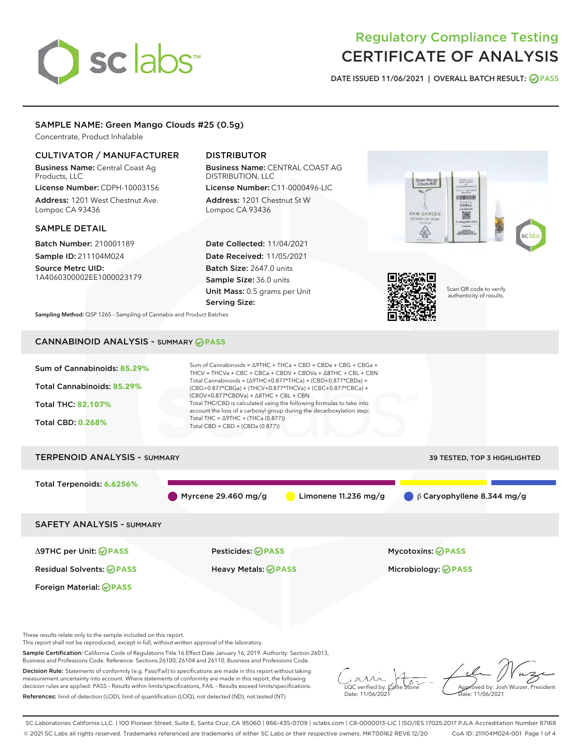

# Regulatory Compliance Testing CERTIFICATE OF ANALYSIS

DATE ISSUED 11/06/2021 | OVERALL BATCH RESULT: @ PASS

# SAMPLE NAME: Green Mango Clouds #25 (0.5g)

Concentrate, Product Inhalable

# CULTIVATOR / MANUFACTURER

Business Name: Central Coast Ag Products, LLC License Number: CDPH-10003156

Address: 1201 West Chestnut Ave. Lompoc CA 93436

## SAMPLE DETAIL

Batch Number: 210001189 Sample ID: 211104M024

Source Metrc UID: 1A4060300002EE1000023179

# DISTRIBUTOR

Business Name: CENTRAL COAST AG DISTRIBUTION, LLC License Number: C11-0000496-LIC

Address: 1201 Chestnut St W Lompoc CA 93436

Date Collected: 11/04/2021 Date Received: 11/05/2021 Batch Size: 2647.0 units Sample Size: 36.0 units Unit Mass: 0.5 grams per Unit Serving Size:





Scan QR code to verify authenticity of results.

Sampling Method: QSP 1265 - Sampling of Cannabis and Product Batches

# CANNABINOID ANALYSIS - SUMMARY **PASS**



These results relate only to the sample included on this report.

This report shall not be reproduced, except in full, without written approval of the laboratory.

Sample Certification: California Code of Regulations Title 16 Effect Date January 16, 2019. Authority: Section 26013, Business and Professions Code. Reference: Sections 26100, 26104 and 26110, Business and Professions Code.

Decision Rule: Statements of conformity (e.g. Pass/Fail) to specifications are made in this report without taking measurement uncertainty into account. Where statements of conformity are made in this report, the following decision rules are applied: PASS – Results within limits/specifications, FAIL – Results exceed limits/specifications. References: limit of detection (LOD), limit of quantification (LOQ), not detected (ND), not tested (NT)

 $\overline{\text{C}}$  verified by:  $\overline{\text{C}}$ Date: 11/06/202<sup>2</sup>

Approved by: Josh Wurzer, President ate: 11/06/2021

SC Laboratories California LLC. | 100 Pioneer Street, Suite E, Santa Cruz, CA 95060 | 866-435-0709 | sclabs.com | C8-0000013-LIC | ISO/IES 17025:2017 PJLA Accreditation Number 87168 © 2021 SC Labs all rights reserved. Trademarks referenced are trademarks of either SC Labs or their respective owners. MKT00162 REV6 12/20 CoA ID: 211104M024-001 Page 1 of 4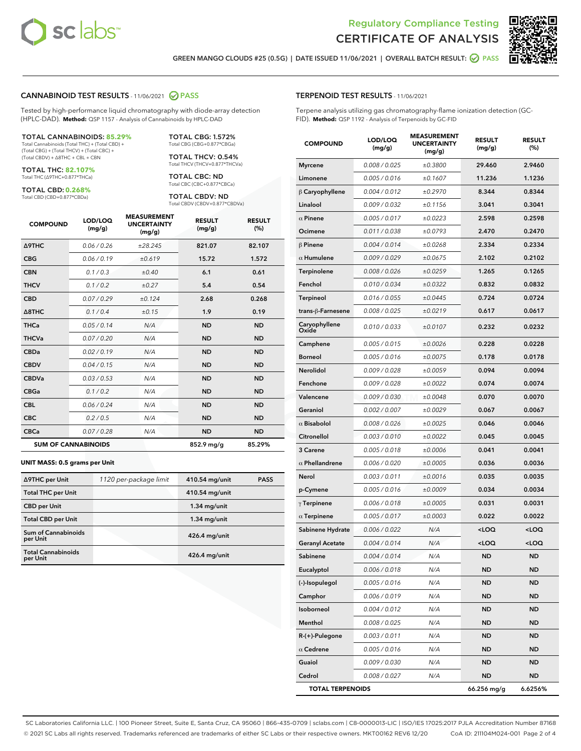



GREEN MANGO CLOUDS #25 (0.5G) | DATE ISSUED 11/06/2021 | OVERALL BATCH RESULT: @ PASS

# CANNABINOID TEST RESULTS - 11/06/2021 2 PASS

Tested by high-performance liquid chromatography with diode-array detection (HPLC-DAD). **Method:** QSP 1157 - Analysis of Cannabinoids by HPLC-DAD

#### TOTAL CANNABINOIDS: **85.29%**

Total Cannabinoids (Total THC) + (Total CBD) + (Total CBG) + (Total THCV) + (Total CBC) + (Total CBDV) + ∆8THC + CBL + CBN

TOTAL THC: **82.107%** Total THC (∆9THC+0.877\*THCa)

TOTAL CBD: **0.268%**

Total CBD (CBD+0.877\*CBDa)

TOTAL CBG: 1.572% Total CBG (CBG+0.877\*CBGa)

TOTAL THCV: 0.54% Total THCV (THCV+0.877\*THCVa)

TOTAL CBC: ND Total CBC (CBC+0.877\*CBCa)

TOTAL CBDV: ND Total CBDV (CBDV+0.877\*CBDVa)

| <b>COMPOUND</b>  | LOD/LOQ<br>(mg/g)          | <b>MEASUREMENT</b><br><b>UNCERTAINTY</b><br>(mg/g) | <b>RESULT</b><br>(mg/g) | <b>RESULT</b><br>(%) |
|------------------|----------------------------|----------------------------------------------------|-------------------------|----------------------|
| <b>A9THC</b>     | 0.06 / 0.26                | ±28.245                                            | 821.07                  | 82.107               |
| <b>CBG</b>       | 0.06/0.19                  | ±0.619                                             | 15.72                   | 1.572                |
| <b>CBN</b>       | 0.1 / 0.3                  | ±0.40                                              | 6.1                     | 0.61                 |
| <b>THCV</b>      | 0.1/0.2                    | ±0.27                                              | 5.4                     | 0.54                 |
| <b>CBD</b>       | 0.07/0.29                  | ±0.124                                             | 2.68                    | 0.268                |
| $\triangle$ 8THC | 0.1 / 0.4                  | ±0.15                                              | 1.9                     | 0.19                 |
| <b>THCa</b>      | 0.05/0.14                  | N/A                                                | <b>ND</b>               | <b>ND</b>            |
| <b>THCVa</b>     | 0.07/0.20                  | N/A                                                | <b>ND</b>               | <b>ND</b>            |
| <b>CBDa</b>      | 0.02/0.19                  | N/A                                                | <b>ND</b>               | <b>ND</b>            |
| <b>CBDV</b>      | 0.04 / 0.15                | N/A                                                | <b>ND</b>               | <b>ND</b>            |
| <b>CBDVa</b>     | 0.03/0.53                  | N/A                                                | <b>ND</b>               | <b>ND</b>            |
| <b>CBGa</b>      | 0.1 / 0.2                  | N/A                                                | <b>ND</b>               | <b>ND</b>            |
| <b>CBL</b>       | 0.06 / 0.24                | N/A                                                | <b>ND</b>               | <b>ND</b>            |
| <b>CBC</b>       | 0.2 / 0.5                  | N/A                                                | <b>ND</b>               | <b>ND</b>            |
| <b>CBCa</b>      | 0.07/0.28                  | N/A                                                | <b>ND</b>               | <b>ND</b>            |
|                  | <b>SUM OF CANNABINOIDS</b> |                                                    | 852.9 mg/g              | 85.29%               |

#### **UNIT MASS: 0.5 grams per Unit**

| ∆9THC per Unit                        | 1120 per-package limit | 410.54 mg/unit  | <b>PASS</b> |
|---------------------------------------|------------------------|-----------------|-------------|
| <b>Total THC per Unit</b>             |                        | 410.54 mg/unit  |             |
| <b>CBD per Unit</b>                   |                        | $1.34$ mg/unit  |             |
| <b>Total CBD per Unit</b>             |                        | $1.34$ mg/unit  |             |
| Sum of Cannabinoids<br>per Unit       |                        | $426.4$ mg/unit |             |
| <b>Total Cannabinoids</b><br>per Unit |                        | $426.4$ mg/unit |             |

| <b>COMPOUND</b>         | LOD/LOQ<br>(mg/g) | <b>MEASUREMENT</b><br><b>UNCERTAINTY</b><br>(mg/g) | <b>RESULT</b><br>(mg/g)                         | <b>RESULT</b><br>(%) |
|-------------------------|-------------------|----------------------------------------------------|-------------------------------------------------|----------------------|
| <b>Myrcene</b>          | 0.008 / 0.025     | ±0.3800                                            | 29.460                                          | 2.9460               |
| Limonene                | 0.005 / 0.016     | ±0.1607                                            | 11.236                                          | 1.1236               |
| $\upbeta$ Caryophyllene | 0.004 / 0.012     | ±0.2970                                            | 8.344                                           | 0.8344               |
| Linalool                | 0.009 / 0.032     | ±0.1156                                            | 3.041                                           | 0.3041               |
| $\alpha$ Pinene         | 0.005 / 0.017     | ±0.0223                                            | 2.598                                           | 0.2598               |
| Ocimene                 | 0.011 / 0.038     | ±0.0793                                            | 2.470                                           | 0.2470               |
| $\beta$ Pinene          | 0.004 / 0.014     | ±0.0268                                            | 2.334                                           | 0.2334               |
| $\alpha$ Humulene       | 0.009 / 0.029     | ±0.0675                                            | 2.102                                           | 0.2102               |
| Terpinolene             | 0.008 / 0.026     | ±0.0259                                            | 1.265                                           | 0.1265               |
| Fenchol                 | 0.010 / 0.034     | ±0.0322                                            | 0.832                                           | 0.0832               |
| Terpineol               | 0.016 / 0.055     | ±0.0445                                            | 0.724                                           | 0.0724               |
| trans-β-Farnesene       | 0.008 / 0.025     | ±0.0219                                            | 0.617                                           | 0.0617               |
| Caryophyllene<br>Oxide  | 0.010 / 0.033     | ±0.0107                                            | 0.232                                           | 0.0232               |
| Camphene                | 0.005 / 0.015     | ±0.0026                                            | 0.228                                           | 0.0228               |
| <b>Borneol</b>          | 0.005 / 0.016     | ±0.0075                                            | 0.178                                           | 0.0178               |
| Nerolidol               | 0.009 / 0.028     | ±0.0059                                            | 0.094                                           | 0.0094               |
| Fenchone                | 0.009 / 0.028     | ±0.0022                                            | 0.074                                           | 0.0074               |
| Valencene               | 0.009 / 0.030     | ±0.0048                                            | 0.070                                           | 0.0070               |
| Geraniol                | 0.002 / 0.007     | ±0.0029                                            | 0.067                                           | 0.0067               |
| $\alpha$ Bisabolol      | 0.008 / 0.026     | ±0.0025                                            | 0.046                                           | 0.0046               |
| Citronellol             | 0.003 / 0.010     | ±0.0022                                            | 0.045                                           | 0.0045               |
| 3 Carene                | 0.005 / 0.018     | ±0.0006                                            | 0.041                                           | 0.0041               |
| $\alpha$ Phellandrene   | 0.006 / 0.020     | ±0.0005                                            | 0.036                                           | 0.0036               |
| Nerol                   | 0.003 / 0.011     | ±0.0016                                            | 0.035                                           | 0.0035               |
| p-Cymene                | 0.005 / 0.016     | ±0.0009                                            | 0.034                                           | 0.0034               |
| $\gamma$ Terpinene      | 0.006 / 0.018     | ±0.0005                                            | 0.031                                           | 0.0031               |
| $\alpha$ Terpinene      | 0.005 / 0.017     | ±0.0003                                            | 0.022                                           | 0.0022               |
| Sabinene Hydrate        | 0.006 / 0.022     | N/A                                                | <loq< th=""><th><loq< th=""></loq<></th></loq<> | <loq< th=""></loq<>  |
| <b>Geranyl Acetate</b>  | 0.004 / 0.014     | N/A                                                | <loq< th=""><th><loq< th=""></loq<></th></loq<> | <loq< th=""></loq<>  |
| Sabinene                | 0.004 / 0.014     | N/A                                                | ND                                              | ND                   |
| Eucalyptol              | 0.006 / 0.018     | N/A                                                | ND                                              | ND                   |
| (-)-Isopulegol          | 0.005 / 0.016     | N/A                                                | ND                                              | ND                   |
| Camphor                 | 0.006 / 0.019     | N/A                                                | ND                                              | ND                   |
| Isoborneol              | 0.004 / 0.012     | N/A                                                | ND                                              | ND                   |
| Menthol                 | 0.008 / 0.025     | N/A                                                | ND                                              | ND                   |
| R-(+)-Pulegone          | 0.003 / 0.011     | N/A                                                | ND                                              | ND                   |
| $\alpha$ Cedrene        | 0.005 / 0.016     | N/A                                                | ND                                              | ND                   |
| Guaiol                  | 0.009 / 0.030     | N/A                                                | ND                                              | ND                   |
| Cedrol                  | 0.008 / 0.027     | N/A                                                | ND                                              | ND                   |
| <b>TOTAL TERPENOIDS</b> |                   |                                                    | 66.256 mg/g                                     | 6.6256%              |

SC Laboratories California LLC. | 100 Pioneer Street, Suite E, Santa Cruz, CA 95060 | 866-435-0709 | sclabs.com | C8-0000013-LIC | ISO/IES 17025:2017 PJLA Accreditation Number 87168 © 2021 SC Labs all rights reserved. Trademarks referenced are trademarks of either SC Labs or their respective owners. MKT00162 REV6 12/20 CoA ID: 211104M024-001 Page 2 of 4

# TERPENOID TEST RESULTS - 11/06/2021

Terpene analysis utilizing gas chromatography-flame ionization detection (GC-FID). **Method:** QSP 1192 - Analysis of Terpenoids by GC-FID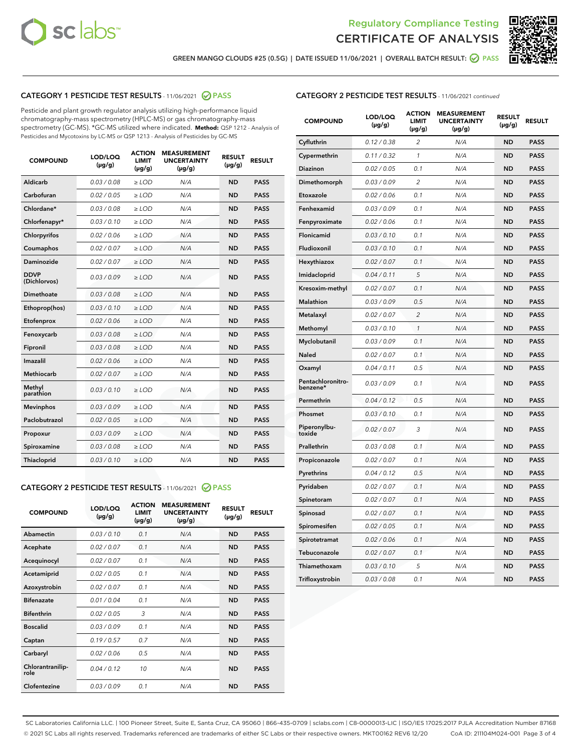



GREEN MANGO CLOUDS #25 (0.5G) | DATE ISSUED 11/06/2021 | OVERALL BATCH RESULT: @ PASS

# CATEGORY 1 PESTICIDE TEST RESULTS - 11/06/2021 2 PASS

Pesticide and plant growth regulator analysis utilizing high-performance liquid chromatography-mass spectrometry (HPLC-MS) or gas chromatography-mass spectrometry (GC-MS). \*GC-MS utilized where indicated. **Method:** QSP 1212 - Analysis of Pesticides and Mycotoxins by LC-MS or QSP 1213 - Analysis of Pesticides by GC-MS

| <b>COMPOUND</b>             | LOD/LOQ<br>$(\mu g/g)$ | <b>ACTION</b><br><b>LIMIT</b><br>$(\mu q/q)$ | <b>MEASUREMENT</b><br><b>UNCERTAINTY</b><br>$(\mu g/g)$ | <b>RESULT</b><br>$(\mu g/g)$ | <b>RESULT</b> |
|-----------------------------|------------------------|----------------------------------------------|---------------------------------------------------------|------------------------------|---------------|
| Aldicarb                    | 0.03 / 0.08            | $\ge$ LOD                                    | N/A                                                     | <b>ND</b>                    | <b>PASS</b>   |
| Carbofuran                  | 0.02 / 0.05            | $\ge$ LOD                                    | N/A                                                     | <b>ND</b>                    | <b>PASS</b>   |
| Chlordane*                  | 0.03 / 0.08            | $\ge$ LOD                                    | N/A                                                     | <b>ND</b>                    | <b>PASS</b>   |
| Chlorfenapyr*               | 0.03/0.10              | $\ge$ LOD                                    | N/A                                                     | <b>ND</b>                    | <b>PASS</b>   |
| Chlorpyrifos                | 0.02 / 0.06            | $\ge$ LOD                                    | N/A                                                     | <b>ND</b>                    | <b>PASS</b>   |
| Coumaphos                   | 0.02 / 0.07            | $\ge$ LOD                                    | N/A                                                     | <b>ND</b>                    | <b>PASS</b>   |
| Daminozide                  | 0.02 / 0.07            | $\ge$ LOD                                    | N/A                                                     | <b>ND</b>                    | <b>PASS</b>   |
| <b>DDVP</b><br>(Dichlorvos) | 0.03/0.09              | $>$ LOD                                      | N/A                                                     | <b>ND</b>                    | <b>PASS</b>   |
| Dimethoate                  | 0.03 / 0.08            | $\ge$ LOD                                    | N/A                                                     | <b>ND</b>                    | <b>PASS</b>   |
| Ethoprop(hos)               | 0.03/0.10              | $\ge$ LOD                                    | N/A                                                     | <b>ND</b>                    | <b>PASS</b>   |
| Etofenprox                  | 0.02/0.06              | $>$ LOD                                      | N/A                                                     | <b>ND</b>                    | <b>PASS</b>   |
| Fenoxycarb                  | 0.03 / 0.08            | $\ge$ LOD                                    | N/A                                                     | <b>ND</b>                    | <b>PASS</b>   |
| Fipronil                    | 0.03/0.08              | $>$ LOD                                      | N/A                                                     | <b>ND</b>                    | <b>PASS</b>   |
| Imazalil                    | 0.02 / 0.06            | $\ge$ LOD                                    | N/A                                                     | <b>ND</b>                    | <b>PASS</b>   |
| Methiocarb                  | 0.02 / 0.07            | $\ge$ LOD                                    | N/A                                                     | <b>ND</b>                    | <b>PASS</b>   |
| Methyl<br>parathion         | 0.03/0.10              | $>$ LOD                                      | N/A                                                     | <b>ND</b>                    | <b>PASS</b>   |
| <b>Mevinphos</b>            | 0.03/0.09              | $>$ LOD                                      | N/A                                                     | <b>ND</b>                    | <b>PASS</b>   |
| Paclobutrazol               | 0.02 / 0.05            | $\ge$ LOD                                    | N/A                                                     | <b>ND</b>                    | <b>PASS</b>   |
| Propoxur                    | 0.03 / 0.09            | $\ge$ LOD                                    | N/A                                                     | <b>ND</b>                    | <b>PASS</b>   |
| Spiroxamine                 | 0.03 / 0.08            | $\ge$ LOD                                    | N/A                                                     | <b>ND</b>                    | <b>PASS</b>   |
| Thiacloprid                 | 0.03/0.10              | $\ge$ LOD                                    | N/A                                                     | <b>ND</b>                    | <b>PASS</b>   |

## CATEGORY 2 PESTICIDE TEST RESULTS - 11/06/2021 @ PASS

| <b>COMPOUND</b>          | LOD/LOO<br>$(\mu g/g)$ | <b>ACTION</b><br>LIMIT<br>$(\mu g/g)$ | <b>MEASUREMENT</b><br><b>UNCERTAINTY</b><br>$(\mu g/g)$ | <b>RESULT</b><br>$(\mu g/g)$ | <b>RESULT</b> |
|--------------------------|------------------------|---------------------------------------|---------------------------------------------------------|------------------------------|---------------|
| Abamectin                | 0.03/0.10              | 0.1                                   | N/A                                                     | <b>ND</b>                    | <b>PASS</b>   |
| Acephate                 | 0.02/0.07              | 0.1                                   | N/A                                                     | <b>ND</b>                    | <b>PASS</b>   |
| Acequinocyl              | 0.02/0.07              | 0.1                                   | N/A                                                     | <b>ND</b>                    | <b>PASS</b>   |
| Acetamiprid              | 0.02/0.05              | 0.1                                   | N/A                                                     | <b>ND</b>                    | <b>PASS</b>   |
| Azoxystrobin             | 0.02/0.07              | 0.1                                   | N/A                                                     | <b>ND</b>                    | <b>PASS</b>   |
| <b>Bifenazate</b>        | 0.01/0.04              | 0.1                                   | N/A                                                     | <b>ND</b>                    | <b>PASS</b>   |
| <b>Bifenthrin</b>        | 0.02 / 0.05            | 3                                     | N/A                                                     | <b>ND</b>                    | <b>PASS</b>   |
| <b>Boscalid</b>          | 0.03/0.09              | 0.1                                   | N/A                                                     | <b>ND</b>                    | <b>PASS</b>   |
| Captan                   | 0.19/0.57              | 0.7                                   | N/A                                                     | <b>ND</b>                    | <b>PASS</b>   |
| Carbaryl                 | 0.02/0.06              | 0.5                                   | N/A                                                     | <b>ND</b>                    | <b>PASS</b>   |
| Chlorantranilip-<br>role | 0.04/0.12              | 10                                    | N/A                                                     | <b>ND</b>                    | <b>PASS</b>   |
| Clofentezine             | 0.03/0.09              | 0.1                                   | N/A                                                     | <b>ND</b>                    | <b>PASS</b>   |

| <b>CATEGORY 2 PESTICIDE TEST RESULTS</b> - 11/06/2021 continued |  |  |
|-----------------------------------------------------------------|--|--|
|                                                                 |  |  |

| <b>COMPOUND</b>               | LOD/LOQ<br>(µg/g) | <b>ACTION</b><br>LIMIT<br>(µg/g) | <b>MEASUREMENT</b><br><b>UNCERTAINTY</b><br>$(\mu g/g)$ | <b>RESULT</b><br>(µg/g) | <b>RESULT</b> |
|-------------------------------|-------------------|----------------------------------|---------------------------------------------------------|-------------------------|---------------|
| Cyfluthrin                    | 0.12 / 0.38       | $\overline{c}$                   | N/A                                                     | <b>ND</b>               | <b>PASS</b>   |
| Cypermethrin                  | 0.11/0.32         | 1                                | N/A                                                     | <b>ND</b>               | <b>PASS</b>   |
| <b>Diazinon</b>               | 0.02 / 0.05       | 0.1                              | N/A                                                     | <b>ND</b>               | <b>PASS</b>   |
| Dimethomorph                  | 0.03 / 0.09       | 2                                | N/A                                                     | ND                      | <b>PASS</b>   |
| Etoxazole                     | 0.02 / 0.06       | 0.1                              | N/A                                                     | ND                      | <b>PASS</b>   |
| Fenhexamid                    | 0.03 / 0.09       | 0.1                              | N/A                                                     | <b>ND</b>               | <b>PASS</b>   |
| Fenpyroximate                 | 0.02 / 0.06       | 0.1                              | N/A                                                     | <b>ND</b>               | <b>PASS</b>   |
| Flonicamid                    | 0.03/0.10         | 0.1                              | N/A                                                     | <b>ND</b>               | <b>PASS</b>   |
| Fludioxonil                   | 0.03/0.10         | 0.1                              | N/A                                                     | <b>ND</b>               | <b>PASS</b>   |
| Hexythiazox                   | 0.02 / 0.07       | 0.1                              | N/A                                                     | <b>ND</b>               | <b>PASS</b>   |
| Imidacloprid                  | 0.04 / 0.11       | 5                                | N/A                                                     | <b>ND</b>               | <b>PASS</b>   |
| Kresoxim-methyl               | 0.02 / 0.07       | 0.1                              | N/A                                                     | ND                      | <b>PASS</b>   |
| Malathion                     | 0.03 / 0.09       | 0.5                              | N/A                                                     | <b>ND</b>               | <b>PASS</b>   |
| Metalaxyl                     | 0.02 / 0.07       | $\overline{c}$                   | N/A                                                     | ND                      | <b>PASS</b>   |
| Methomyl                      | 0.03 / 0.10       | 1                                | N/A                                                     | <b>ND</b>               | <b>PASS</b>   |
| Myclobutanil                  | 0.03 / 0.09       | 0.1                              | N/A                                                     | <b>ND</b>               | <b>PASS</b>   |
| Naled                         | 0.02 / 0.07       | 0.1                              | N/A                                                     | <b>ND</b>               | <b>PASS</b>   |
| Oxamyl                        | 0.04 / 0.11       | 0.5                              | N/A                                                     | ND                      | <b>PASS</b>   |
| Pentachloronitro-<br>benzene* | 0.03 / 0.09       | 0.1                              | N/A                                                     | ND                      | <b>PASS</b>   |
| Permethrin                    | 0.04 / 0.12       | 0.5                              | N/A                                                     | <b>ND</b>               | <b>PASS</b>   |
| Phosmet                       | 0.03 / 0.10       | 0.1                              | N/A                                                     | <b>ND</b>               | <b>PASS</b>   |
| Piperonylbu-<br>toxide        | 0.02 / 0.07       | 3                                | N/A                                                     | <b>ND</b>               | <b>PASS</b>   |
| Prallethrin                   | 0.03 / 0.08       | 0.1                              | N/A                                                     | <b>ND</b>               | <b>PASS</b>   |
| Propiconazole                 | 0.02 / 0.07       | 0.1                              | N/A                                                     | <b>ND</b>               | <b>PASS</b>   |
| Pyrethrins                    | 0.04 / 0.12       | 0.5                              | N/A                                                     | <b>ND</b>               | <b>PASS</b>   |
| Pyridaben                     | 0.02 / 0.07       | 0.1                              | N/A                                                     | ND                      | <b>PASS</b>   |
| Spinetoram                    | 0.02 / 0.07       | 0.1                              | N/A                                                     | <b>ND</b>               | <b>PASS</b>   |
| Spinosad                      | 0.02 / 0.07       | 0.1                              | N/A                                                     | <b>ND</b>               | <b>PASS</b>   |
| Spiromesifen                  | 0.02 / 0.05       | 0.1                              | N/A                                                     | ND                      | PASS          |
| Spirotetramat                 | 0.02 / 0.06       | 0.1                              | N/A                                                     | <b>ND</b>               | <b>PASS</b>   |
| Tebuconazole                  | 0.02 / 0.07       | 0.1                              | N/A                                                     | <b>ND</b>               | <b>PASS</b>   |
| Thiamethoxam                  | 0.03 / 0.10       | 5                                | N/A                                                     | ND                      | <b>PASS</b>   |
| Trifloxystrobin               | 0.03 / 0.08       | 0.1                              | N/A                                                     | ND                      | <b>PASS</b>   |

SC Laboratories California LLC. | 100 Pioneer Street, Suite E, Santa Cruz, CA 95060 | 866-435-0709 | sclabs.com | C8-0000013-LIC | ISO/IES 17025:2017 PJLA Accreditation Number 87168 © 2021 SC Labs all rights reserved. Trademarks referenced are trademarks of either SC Labs or their respective owners. MKT00162 REV6 12/20 CoA ID: 211104M024-001 Page 3 of 4